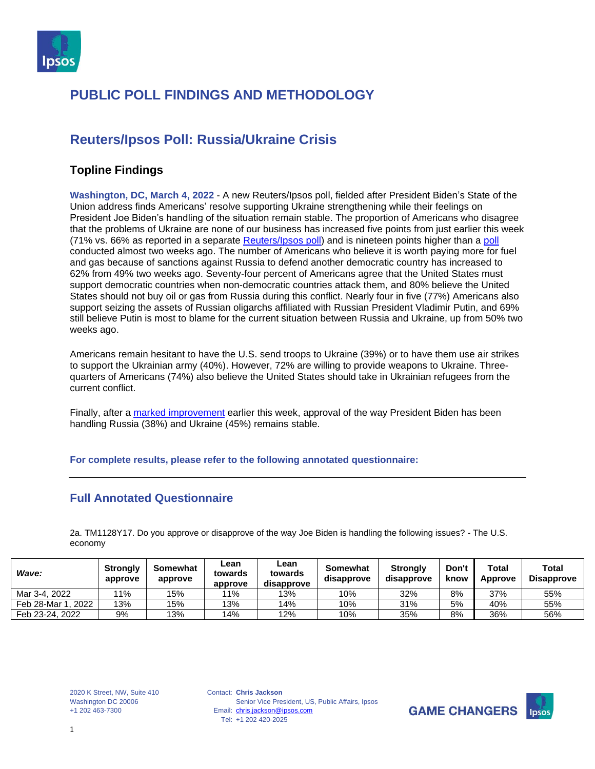

## **Reuters/Ipsos Poll: Russia/Ukraine Crisis**

#### **Topline Findings**

**Washington, DC, March 4, 2022** - A new Reuters/Ipsos poll, fielded after President Biden's State of the Union address finds Americans' resolve supporting Ukraine strengthening while their feelings on President Joe Biden's handling of the situation remain stable. The proportion of Americans who disagree that the problems of Ukraine are none of our business has increased five points from just earlier this week (71% vs. 66% as reported in a separate [Reuters/Ipsos poll\)](https://www.ipsos.com/en-us/news-polls/two-five-americans-approve-president-biden-handling-russia-ukraine) and is nineteen points higher than a [poll](https://www.ipsos.com/en-us/news-polls/majority-americans-support-placing-additional-economic-sanctions-russia) conducted almost two weeks ago. The number of Americans who believe it is worth paying more for fuel and gas because of sanctions against Russia to defend another democratic country has increased to 62% from 49% two weeks ago. Seventy-four percent of Americans agree that the United States must support democratic countries when non-democratic countries attack them, and 80% believe the United States should not buy oil or gas from Russia during this conflict. Nearly four in five (77%) Americans also support seizing the assets of Russian oligarchs affiliated with Russian President Vladimir Putin, and 69% still believe Putin is most to blame for the current situation between Russia and Ukraine, up from 50% two weeks ago.

Americans remain hesitant to have the U.S. send troops to Ukraine (39%) or to have them use air strikes to support the Ukrainian army (40%). However, 72% are willing to provide weapons to Ukraine. Threequarters of Americans (74%) also believe the United States should take in Ukrainian refugees from the current conflict.

Finally, after a [marked improvement](https://www.ipsos.com/en-us/news-polls/two-five-americans-approve-president-biden-handling-russia-ukraine) earlier this week, approval of the way President Biden has been handling Russia (38%) and Ukraine (45%) remains stable.

#### **For complete results, please refer to the following annotated questionnaire:**

#### **Full Annotated Questionnaire**

2a. TM1128Y17. Do you approve or disapprove of the way Joe Biden is handling the following issues? - The U.S. economy

| Wave:                  | <b>Strongly</b><br>approve | Somewhat<br>approve | Lean<br>towards<br>approve | Lean<br>towards<br>disapprove | <b>Somewhat</b><br>disapprove | <b>Strongly</b><br>disapprove | Don't<br>know | <b>Total</b><br>Approve | Total<br><b>Disapprove</b> |
|------------------------|----------------------------|---------------------|----------------------------|-------------------------------|-------------------------------|-------------------------------|---------------|-------------------------|----------------------------|
| Mar 3-4, 2022          | '1%                        | 15%                 | 11%                        | 13%                           | 10%                           | 32%                           | 8%            | 37%                     | 55%                        |
| Feb 28-Mar 1<br>. 2022 | 13%                        | 15%                 | 13%                        | 14%                           | 10%                           | 31%                           | 5%            | 40%                     | 55%                        |
| Feb 23-24, 2022        | 9%                         | 13%                 | 14%                        | 12%                           | 10%                           | 35%                           | 8%            | 36%                     | 56%                        |

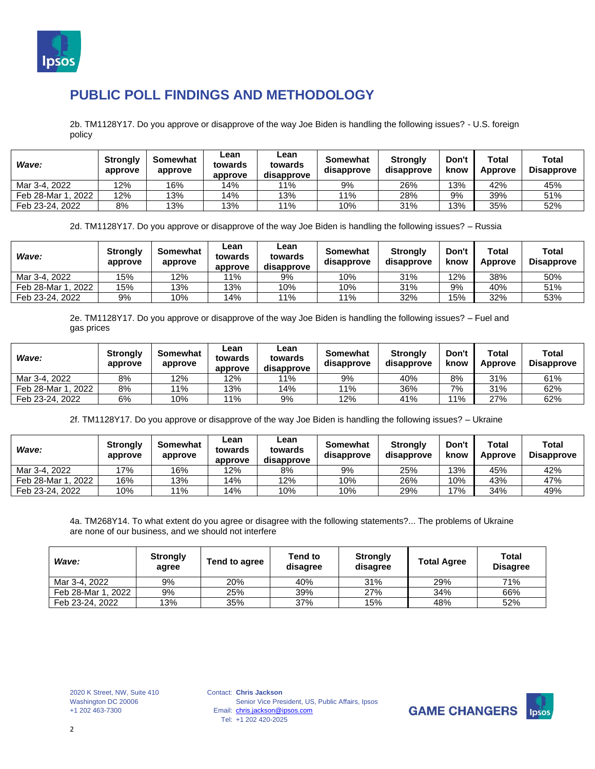

2b. TM1128Y17. Do you approve or disapprove of the way Joe Biden is handling the following issues? - U.S. foreign policy

| Wave:              | <b>Strongly</b><br>approve | Somewhat<br>approve | ∟ean<br>towards<br>approve | ∟ean<br>towards<br>disapprove | Somewhat<br>disapprove | <b>Strongly</b><br>disapprove | Don't<br>know | Total<br>Approve | Total<br><b>Disapprove</b> |
|--------------------|----------------------------|---------------------|----------------------------|-------------------------------|------------------------|-------------------------------|---------------|------------------|----------------------------|
| Mar 3-4, 2022      | 12%                        | 16%                 | 14%                        | 11%                           | 9%                     | 26%                           | 13%           | 42%              | 45%                        |
| Feb 28-Mar 1, 2022 | 12%                        | 13%                 | 14%                        | 13%                           | 11%                    | 28%                           | 9%            | 39%              | 51%                        |
| Feb 23-24, 2022    | 8%                         | 13%                 | 13%                        | 11%                           | 10%                    | 31%                           | 13%           | 35%              | 52%                        |

2d. TM1128Y17. Do you approve or disapprove of the way Joe Biden is handling the following issues? – Russia

| Wave:              | <b>Strongly</b><br>approve | Somewhat<br>approve | Lean<br>towards<br>approve | Lean<br>towards<br>disapprove | Somewhat<br>disapprove | <b>Strongly</b><br>disapprove | Don't<br>know | Total<br>Approve | <b>Total</b><br><b>Disapprove</b> |
|--------------------|----------------------------|---------------------|----------------------------|-------------------------------|------------------------|-------------------------------|---------------|------------------|-----------------------------------|
| Mar 3-4, 2022      | 15%                        | 12%                 | 11%                        | 9%                            | 10%                    | 31%                           | 12%           | 38%              | 50%                               |
| Feb 28-Mar 1, 2022 | 15%                        | '3%                 | 13%                        | 10%                           | 10%                    | 31%                           | 9%            | 40%              | 51%                               |
| Feb 23-24, 2022    | 9%                         | 10%                 | 14%                        | 11%                           | 11%                    | 32%                           | 15%           | 32%              | 53%                               |

2e. TM1128Y17. Do you approve or disapprove of the way Joe Biden is handling the following issues? – Fuel and gas prices

| Wave:                  | <b>Strongly</b><br>approve | Somewhat<br>approve | Lean<br>towards<br>approve | Lean<br>towards<br>disapprove | Somewhat<br>disapprove | <b>Strongly</b><br>disapprove | Don't<br>know | Total<br>Approve | <b>Total</b><br><b>Disapprove</b> |
|------------------------|----------------------------|---------------------|----------------------------|-------------------------------|------------------------|-------------------------------|---------------|------------------|-----------------------------------|
| Mar 3-4, 2022          | 8%                         | 2%                  | 12%                        | 11%                           | 9%                     | 40%                           | 8%            | 31%              | 61%                               |
| . 2022<br>Feb 28-Mar 1 | 8%                         | ' 1%                | 13%                        | 14%                           | '1%                    | 36%                           | 7%            | 31%              | 62%                               |
| Feb 23-24, 2022        | 6%                         | 10%                 | ' 1%                       | 9%                            | 12%                    | 41%                           | 11%           | 27%              | 62%                               |

2f. TM1128Y17. Do you approve or disapprove of the way Joe Biden is handling the following issues? – Ukraine

| Wave:              | <b>Strongly</b><br>approve | Somewhat<br>approve | Lean<br>towards<br>approve | Lean<br>towards<br>disapprove | Somewhat<br>disapprove | <b>Strongly</b><br>disapprove | Don't<br>know | Total<br>Approve | <b>Total</b><br><b>Disapprove</b> |
|--------------------|----------------------------|---------------------|----------------------------|-------------------------------|------------------------|-------------------------------|---------------|------------------|-----------------------------------|
| Mar 3-4, 2022      | 17%                        | 16%                 | 12%                        | 8%                            | 9%                     | 25%                           | 13%           | 45%              | 42%                               |
| Feb 28-Mar 1, 2022 | 16%                        | 13%                 | 14%                        | 12%                           | 10%                    | 26%                           | 10%           | 43%              | 47%                               |
| Feb 23-24, 2022    | 10%                        | 11%                 | 14%                        | 10%                           | 10%                    | 29%                           | 17%           | 34%              | 49%                               |

4a. TM268Y14. To what extent do you agree or disagree with the following statements?... The problems of Ukraine are none of our business, and we should not interfere

| Wave:              | <b>Strongly</b><br>agree | Tend to agree | Tend to<br>disagree | <b>Strongly</b><br>disagree | <b>Total Agree</b> | Total<br><b>Disagree</b> |
|--------------------|--------------------------|---------------|---------------------|-----------------------------|--------------------|--------------------------|
| Mar 3-4, 2022      | 9%                       | 20%           | 40%                 | 31%                         | 29%                | 71%                      |
| Feb 28-Mar 1, 2022 | 9%                       | 25%           | 39%                 | 27%                         | 34%                | 66%                      |
| Feb 23-24, 2022    | 13%                      | 35%           | 37%                 | 15%                         | 48%                | 52%                      |

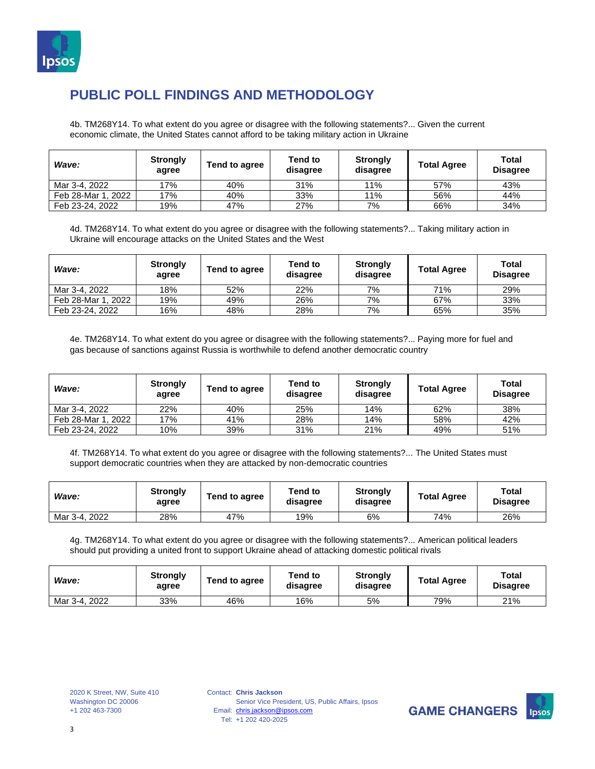

4b. TM268Y14. To what extent do you agree or disagree with the following statements?... Given the current economic climate, the United States cannot afford to be taking military action in Ukraine

| Wave:              | <b>Strongly</b><br>agree | Tend to agree | Tend to<br>disagree | <b>Strongly</b><br>disagree | <b>Total Agree</b> | Total<br><b>Disagree</b> |
|--------------------|--------------------------|---------------|---------------------|-----------------------------|--------------------|--------------------------|
| Mar 3-4, 2022      | 17%                      | 40%           | 31%                 | 11%                         | 57%                | 43%                      |
| Feb 28-Mar 1, 2022 | 17%                      | 40%           | 33%                 | 11%                         | 56%                | 44%                      |
| Feb 23-24, 2022    | 19%                      | 47%           | 27%                 | 7%                          | 66%                | 34%                      |

4d. TM268Y14. To what extent do you agree or disagree with the following statements?... Taking military action in Ukraine will encourage attacks on the United States and the West

| Wave:              | <b>Strongly</b><br>agree | Tend to agree | Tend to<br>disagree | <b>Strongly</b><br>disagree | <b>Total Agree</b> | Total<br><b>Disagree</b> |
|--------------------|--------------------------|---------------|---------------------|-----------------------------|--------------------|--------------------------|
| Mar 3-4, 2022      | 18%                      | 52%           | 22%                 | 7%                          | 71%                | 29%                      |
| Feb 28-Mar 1, 2022 | 19%                      | 49%           | 26%                 | 7%                          | 67%                | 33%                      |
| Feb 23-24, 2022    | 16%                      | 48%           | 28%                 | 7%                          | 65%                | 35%                      |

4e. TM268Y14. To what extent do you agree or disagree with the following statements?... Paying more for fuel and gas because of sanctions against Russia is worthwhile to defend another democratic country

| Wave:              | <b>Strongly</b><br>agree | Tend to agree | Tend to<br>disagree | <b>Strongly</b><br>disagree | <b>Total Agree</b> | Total<br><b>Disagree</b> |
|--------------------|--------------------------|---------------|---------------------|-----------------------------|--------------------|--------------------------|
| Mar 3-4, 2022      | 22%                      | 40%           | 25%                 | 14%                         | 62%                | 38%                      |
| Feb 28-Mar 1, 2022 | 17%                      | 41%           | 28%                 | 14%                         | 58%                | 42%                      |
| Feb 23-24, 2022    | 10%                      | 39%           | 31%                 | 21%                         | 49%                | 51%                      |

4f. TM268Y14. To what extent do you agree or disagree with the following statements?... The United States must support democratic countries when they are attacked by non-democratic countries

| Wave:         | <b>Strongly</b><br>agree | Tend to agree | Tend to<br>disagree | <b>Strongly</b><br>disagree | <b>Total Agree</b> | Total<br><b>Disagree</b> |
|---------------|--------------------------|---------------|---------------------|-----------------------------|--------------------|--------------------------|
| Mar 3-4, 2022 | 28%                      | 47%           | 19%                 | 6%                          | 74%                | 26%                      |

4g. TM268Y14. To what extent do you agree or disagree with the following statements?... American political leaders should put providing a united front to support Ukraine ahead of attacking domestic political rivals

| Wave:         | <b>Strongly</b><br>agree | Tend to agree | Tend to<br>disagree | <b>Strongly</b><br>disagree | <b>Total Agree</b> | <b>Total</b><br><b>Disagree</b> |
|---------------|--------------------------|---------------|---------------------|-----------------------------|--------------------|---------------------------------|
| Mar 3-4, 2022 | 33%                      | 46%           | 16%                 | 5%                          | 79%                | 21%                             |

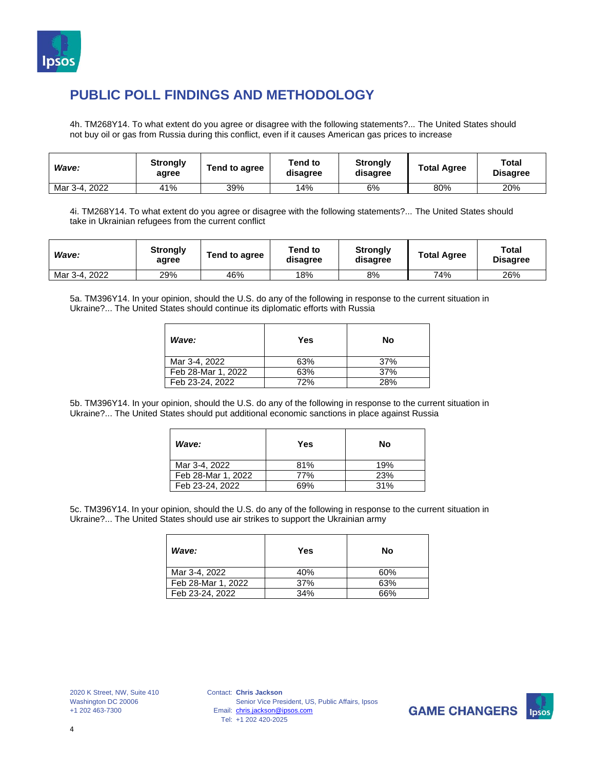

4h. TM268Y14. To what extent do you agree or disagree with the following statements?... The United States should not buy oil or gas from Russia during this conflict, even if it causes American gas prices to increase

| Wave:         | <b>Strongly</b><br>agree | Tend to agree | Tend to<br>disagree | <b>Strongly</b><br>disagree | <b>Total Agree</b> | <b>Total</b><br><b>Disagree</b> |
|---------------|--------------------------|---------------|---------------------|-----------------------------|--------------------|---------------------------------|
| Mar 3-4, 2022 | 41%                      | 39%           | 14%                 | 6%                          | 80%                | 20%                             |

4i. TM268Y14. To what extent do you agree or disagree with the following statements?... The United States should take in Ukrainian refugees from the current conflict

| Wave:         | <b>Strongly</b><br>agree | Tend to agree | Tend to<br>disagree | <b>Strongly</b><br>disagree | <b>Total Agree</b> | <b>Total</b><br><b>Disagree</b> |
|---------------|--------------------------|---------------|---------------------|-----------------------------|--------------------|---------------------------------|
| Mar 3-4, 2022 | 29%                      | 46%           | 18%                 | 8%                          | 74%                | 26%                             |

5a. TM396Y14. In your opinion, should the U.S. do any of the following in response to the current situation in Ukraine?... The United States should continue its diplomatic efforts with Russia

| Wave:              | Yes | No  |
|--------------------|-----|-----|
| Mar 3-4, 2022      | 63% | 37% |
| Feb 28-Mar 1, 2022 | 63% | 37% |
| Feb 23-24, 2022    | 72% | 28% |

5b. TM396Y14. In your opinion, should the U.S. do any of the following in response to the current situation in Ukraine?... The United States should put additional economic sanctions in place against Russia

| Wave:              | Yes | No  |
|--------------------|-----|-----|
| Mar 3-4, 2022      | 81% | 19% |
| Feb 28-Mar 1, 2022 | 77% | 23% |
| Feb 23-24, 2022    | 69% | 31% |

5c. TM396Y14. In your opinion, should the U.S. do any of the following in response to the current situation in Ukraine?... The United States should use air strikes to support the Ukrainian army

| Wave:              | Yes | No  |
|--------------------|-----|-----|
| Mar 3-4, 2022      | 40% | 60% |
| Feb 28-Mar 1, 2022 | 37% | 63% |
| Feb 23-24, 2022    | 34% | 66% |

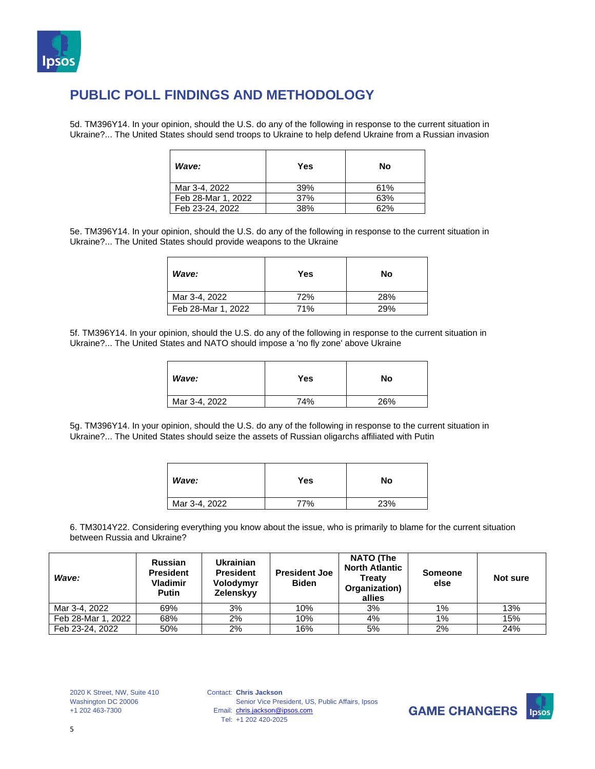

5d. TM396Y14. In your opinion, should the U.S. do any of the following in response to the current situation in Ukraine?... The United States should send troops to Ukraine to help defend Ukraine from a Russian invasion

| Wave:              | Yes | No  |
|--------------------|-----|-----|
| Mar 3-4, 2022      | 39% | 61% |
| Feb 28-Mar 1, 2022 | 37% | 63% |
| Feb 23-24, 2022    | 38% | 62% |

5e. TM396Y14. In your opinion, should the U.S. do any of the following in response to the current situation in Ukraine?... The United States should provide weapons to the Ukraine

| Wave:              | Yes | No  |
|--------------------|-----|-----|
| Mar 3-4, 2022      | 72% | 28% |
| Feb 28-Mar 1, 2022 | 71% | 29% |

5f. TM396Y14. In your opinion, should the U.S. do any of the following in response to the current situation in Ukraine?... The United States and NATO should impose a 'no fly zone' above Ukraine

| Wave:         | Yes | No  |
|---------------|-----|-----|
| Mar 3-4, 2022 | 74% | 26% |

5g. TM396Y14. In your opinion, should the U.S. do any of the following in response to the current situation in Ukraine?... The United States should seize the assets of Russian oligarchs affiliated with Putin

| Wave:         | Yes | No  |
|---------------|-----|-----|
| Mar 3-4, 2022 | 77% | 23% |

6. TM3014Y22. Considering everything you know about the issue, who is primarily to blame for the current situation between Russia and Ukraine?

| Wave:              | <b>Russian</b><br><b>President</b><br><b>Vladimir</b><br><b>Putin</b> | <b>Ukrainian</b><br><b>President</b><br>Volodymyr<br>Zelenskyy | <b>President Joe</b><br>Biden | <b>NATO (The</b><br><b>North Atlantic</b><br>Treaty<br>Organization)<br>allies | Someone<br>else | Not sure |
|--------------------|-----------------------------------------------------------------------|----------------------------------------------------------------|-------------------------------|--------------------------------------------------------------------------------|-----------------|----------|
| Mar 3-4, 2022      | 69%                                                                   | 3%                                                             | 10%                           | 3%                                                                             | $1\%$           | 13%      |
| Feb 28-Mar 1, 2022 | 68%                                                                   | 2%                                                             | 10%                           | 4%                                                                             | $1\%$           | 15%      |
| Feb 23-24, 2022    | 50%                                                                   | 2%                                                             | 16%                           | 5%                                                                             | 2%              | 24%      |

2020 K Street, NW, Suite 410 Washington DC 20006 +1 202 463-7300

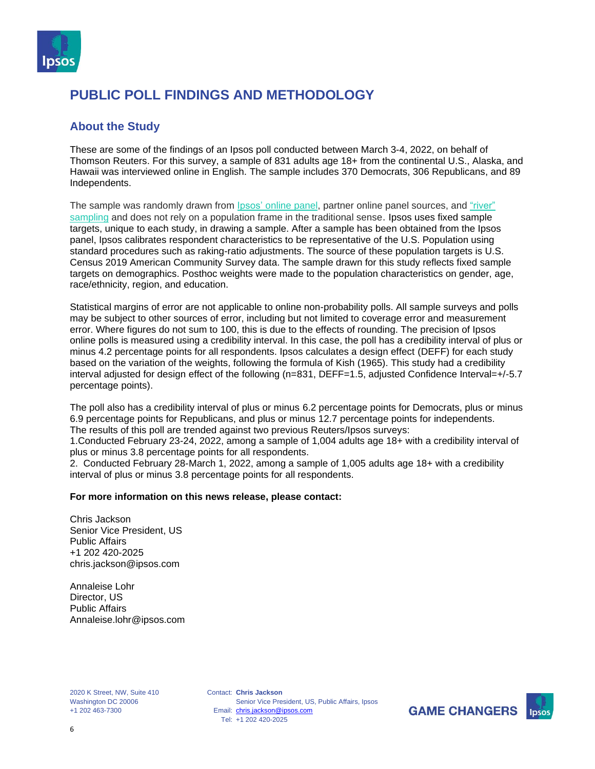

#### **About the Study**

These are some of the findings of an Ipsos poll conducted between March 3-4, 2022, on behalf of Thomson Reuters. For this survey, a sample of 831 adults age 18+ from the continental U.S., Alaska, and Hawaii was interviewed online in English. The sample includes 370 Democrats, 306 Republicans, and 89 Independents.

The sample was randomly drawn from *Ipsos'* [online](https://www.ipsos.com/en-us/public-opinion-polling-downloads) panel, partner online panel sources, and ["river"](https://www.ipsos.com/en-us/public-opinion-polling-downloads) [sampling](https://www.ipsos.com/en-us/public-opinion-polling-downloads) and does not rely on a population frame in the traditional sense. Ipsos uses fixed sample targets, unique to each study, in drawing a sample. After a sample has been obtained from the Ipsos panel, Ipsos calibrates respondent characteristics to be representative of the U.S. Population using standard procedures such as raking-ratio adjustments. The source of these population targets is U.S. Census 2019 American Community Survey data. The sample drawn for this study reflects fixed sample targets on demographics. Posthoc weights were made to the population characteristics on gender, age, race/ethnicity, region, and education.

Statistical margins of error are not applicable to online non-probability polls. All sample surveys and polls may be subject to other sources of error, including but not limited to coverage error and measurement error. Where figures do not sum to 100, this is due to the effects of rounding. The precision of Ipsos online polls is measured using a credibility interval. In this case, the poll has a credibility interval of plus or minus 4.2 percentage points for all respondents. Ipsos calculates a design effect (DEFF) for each study based on the variation of the weights, following the formula of Kish (1965). This study had a credibility interval adjusted for design effect of the following (n=831, DEFF=1.5, adjusted Confidence Interval=+/-5.7 percentage points).

The poll also has a credibility interval of plus or minus 6.2 percentage points for Democrats, plus or minus 6.9 percentage points for Republicans, and plus or minus 12.7 percentage points for independents. The results of this poll are trended against two previous Reuters/Ipsos surveys:

1.Conducted February 23-24, 2022, among a sample of 1,004 adults age 18+ with a credibility interval of plus or minus 3.8 percentage points for all respondents.

2. Conducted February 28-March 1, 2022, among a sample of 1,005 adults age 18+ with a credibility interval of plus or minus 3.8 percentage points for all respondents.

#### **For more information on this news release, please contact:**

Chris Jackson Senior Vice President, US Public Affairs +1 202 420-2025 chris.jackson@ipsos.com

Annaleise Lohr Director, US Public Affairs Annaleise.lohr@ipsos.com

2020 K Street, NW, Suite 410 Washington DC 20006 +1 202 463-7300